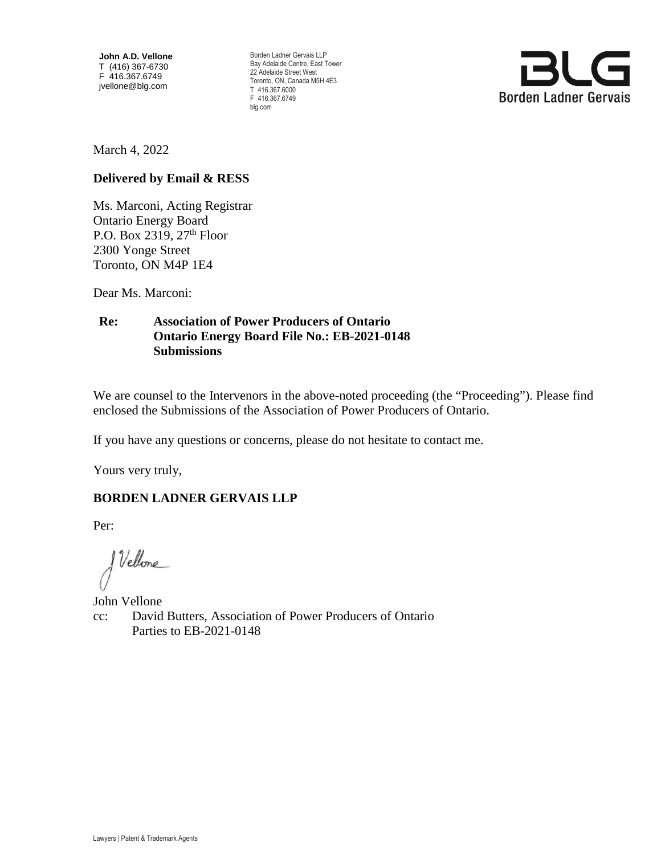**John A.D. Vellone**  T (416) 367-6730 F 416.367.6749 jvellone@blg.com

Borden Ladner Gervais LLP Bay Adelaide Centre, East Tower 22 Adelaide Street West Toronto, ON, Canada M5H 4E3 T 416.367.6000 F 416.367.6749 blg.com



March 4, 2022

## **Delivered by Email & RESS**

Ms. Marconi, Acting Registrar Ontario Energy Board P.O. Box 2319,  $27<sup>th</sup>$  Floor 2300 Yonge Street Toronto, ON M4P 1E4

Dear Ms. Marconi:

# **Re: Association of Power Producers of Ontario Ontario Energy Board File No.: EB-2021-0148 Submissions**

We are counsel to the Intervenors in the above-noted proceeding (the "Proceeding"). Please find enclosed the Submissions of the Association of Power Producers of Ontario.

If you have any questions or concerns, please do not hesitate to contact me.

Yours very truly,

# **BORDEN LADNER GERVAIS LLP**

Per:

J Vellone

John Vellone cc: David Butters, Association of Power Producers of Ontario Parties to EB-2021-0148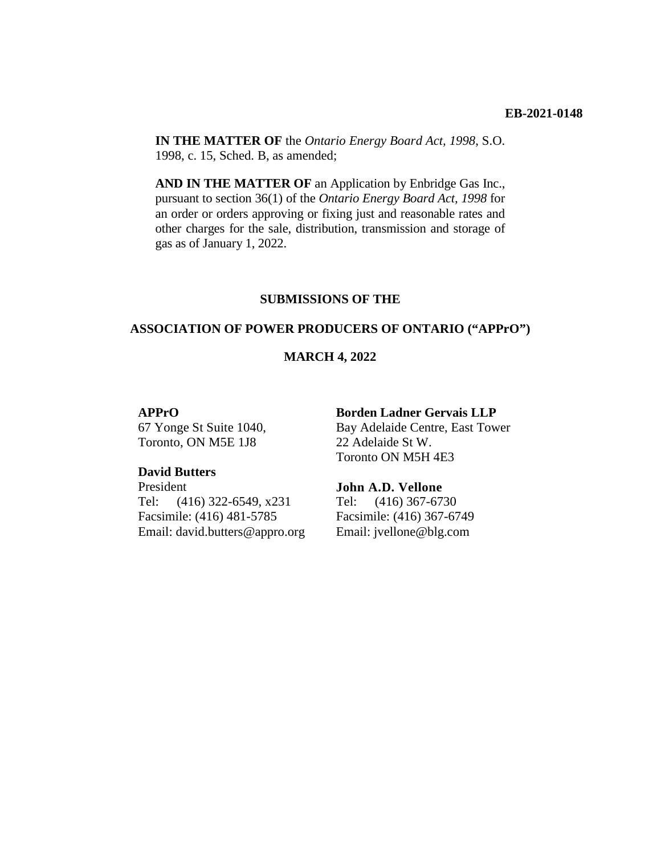**IN THE MATTER OF** the *Ontario Energy Board Act, 1998*, S.O. 1998, c. 15, Sched. B, as amended;

**AND IN THE MATTER OF** an Application by Enbridge Gas Inc., pursuant to section 36(1) of the *Ontario Energy Board Act, 1998* for an order or orders approving or fixing just and reasonable rates and other charges for the sale, distribution, transmission and storage of gas as of January 1, 2022.

### **SUBMISSIONS OF THE**

#### **ASSOCIATION OF POWER PRODUCERS OF ONTARIO ("APPrO")**

#### **MARCH 4, 2022**

#### **APPrO**

67 Yonge St Suite 1040, Toronto, ON M5E 1J8

#### **David Butters**

President Tel: (416) 322-6549, x231 Facsimile: (416) 481-5785 Email: david.butters@appro.org

#### **Borden Ladner Gervais LLP**

Bay Adelaide Centre, East Tower 22 Adelaide St W. Toronto ON M5H 4E3

#### **John A.D. Vellone**

Tel: (416) 367-6730 Facsimile: (416) 367-6749 Email: jvellone@blg.com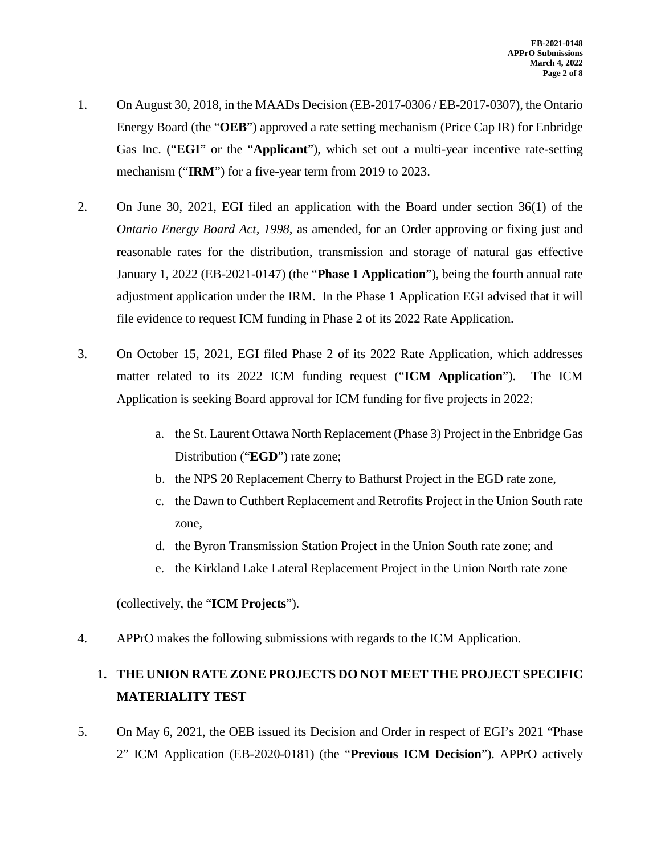- 1. On August 30, 2018, in the MAADs Decision (EB-2017-0306 / EB-2017-0307), the Ontario Energy Board (the "**OEB**") approved a rate setting mechanism (Price Cap IR) for Enbridge Gas Inc. ("**EGI**" or the "**Applicant**"), which set out a multi-year incentive rate-setting mechanism ("**IRM**") for a five-year term from 2019 to 2023.
- 2. On June 30, 2021, EGI filed an application with the Board under section 36(1) of the *Ontario Energy Board Act, 1998*, as amended, for an Order approving or fixing just and reasonable rates for the distribution, transmission and storage of natural gas effective January 1, 2022 (EB-2021-0147) (the "**Phase 1 Application**"), being the fourth annual rate adjustment application under the IRM. In the Phase 1 Application EGI advised that it will file evidence to request ICM funding in Phase 2 of its 2022 Rate Application.
- 3. On October 15, 2021, EGI filed Phase 2 of its 2022 Rate Application, which addresses matter related to its 2022 ICM funding request ("**ICM Application**"). The ICM Application is seeking Board approval for ICM funding for five projects in 2022:
	- a. the St. Laurent Ottawa North Replacement (Phase 3) Project in the Enbridge Gas Distribution ("**EGD**") rate zone;
	- b. the NPS 20 Replacement Cherry to Bathurst Project in the EGD rate zone,
	- c. the Dawn to Cuthbert Replacement and Retrofits Project in the Union South rate zone,
	- d. the Byron Transmission Station Project in the Union South rate zone; and
	- e. the Kirkland Lake Lateral Replacement Project in the Union North rate zone

(collectively, the "**ICM Projects**").

4. APPrO makes the following submissions with regards to the ICM Application.

# **1. THE UNION RATE ZONE PROJECTS DO NOT MEET THE PROJECT SPECIFIC MATERIALITY TEST**

5. On May 6, 2021, the OEB issued its Decision and Order in respect of EGI's 2021 "Phase 2" ICM Application (EB-2020-0181) (the "**Previous ICM Decision**"). APPrO actively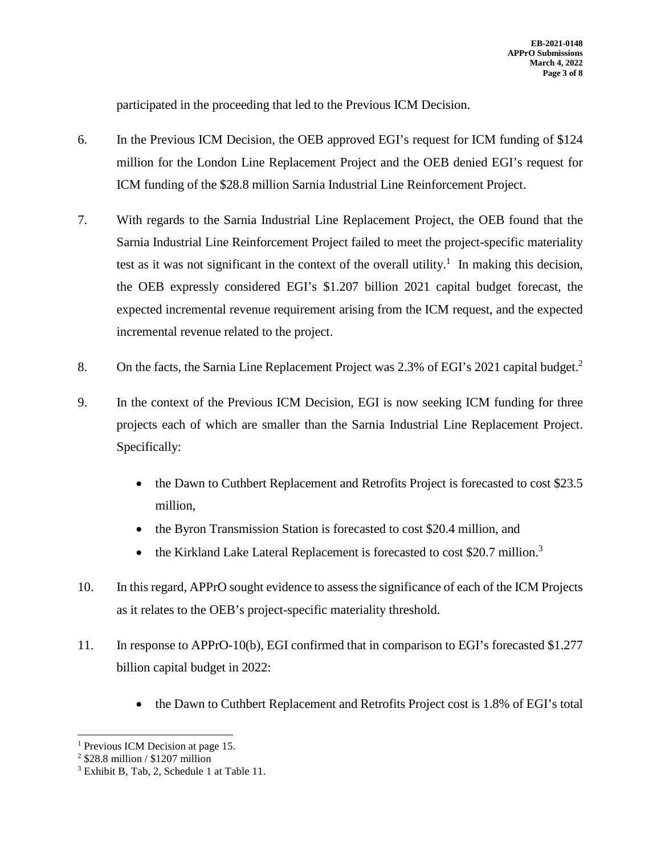participated in the proceeding that led to the Previous ICM Decision.

- 6. In the Previous ICM Decision, the OEB approved EGI's request for ICM funding of \$124 million for the London Line Replacement Project and the OEB denied EGI's request for ICM funding of the \$28.8 million Sarnia Industrial Line Reinforcement Project.
- 7. With regards to the Sarnia Industrial Line Replacement Project, the OEB found that the Sarnia Industrial Line Reinforcement Project failed to meet the project-specific materiality test as it was not significant in the context of the overall utility.<sup>1</sup> In making this decision, the OEB expressly considered EGI's \$1.207 billion 2021 capital budget forecast, the expected incremental revenue requirement arising from the ICM request, and the expected incremental revenue related to the project.
- 8. On the facts, the Sarnia Line Replacement Project was 2.3% of EGI's 2021 capital budget.<sup>2</sup>
- 9. In the context of the Previous ICM Decision, EGI is now seeking ICM funding for three projects each of which are smaller than the Sarnia Industrial Line Replacement Project. Specifically:
	- the Dawn to Cuthbert Replacement and Retrofits Project is forecasted to cost \$23.5 million,
	- the Byron Transmission Station is forecasted to cost \$20.4 million, and
	- the Kirkland Lake Lateral Replacement is forecasted to cost \$20.7 million.<sup>3</sup>
- 10. In this regard, APPrO sought evidence to assess the significance of each of the ICM Projects as it relates to the OEB's project-specific materiality threshold.
- 11. In response to APPrO-10(b), EGI confirmed that in comparison to EGI's forecasted \$1.277 billion capital budget in 2022:
	- the Dawn to Cuthbert Replacement and Retrofits Project cost is 1.8% of EGI's total

<sup>&</sup>lt;sup>1</sup> Previous ICM Decision at page 15.

<sup>2</sup> \$28.8 million / \$1207 million

<sup>&</sup>lt;sup>3</sup> Exhibit B, Tab, 2, Schedule 1 at Table 11.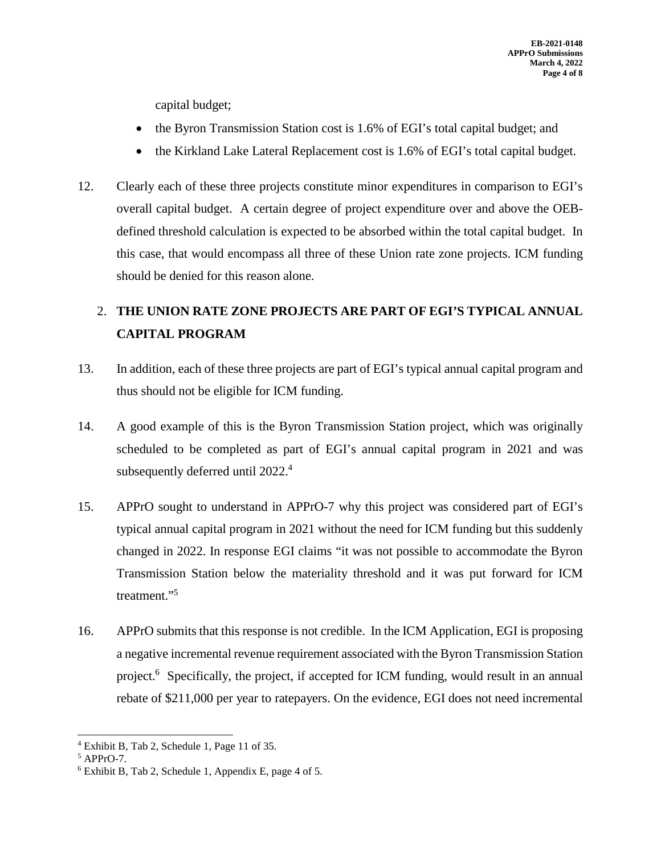capital budget;

- the Byron Transmission Station cost is 1.6% of EGI's total capital budget; and
- the Kirkland Lake Lateral Replacement cost is 1.6% of EGI's total capital budget.
- 12. Clearly each of these three projects constitute minor expenditures in comparison to EGI's overall capital budget. A certain degree of project expenditure over and above the OEBdefined threshold calculation is expected to be absorbed within the total capital budget. In this case, that would encompass all three of these Union rate zone projects. ICM funding should be denied for this reason alone.

# 2. **THE UNION RATE ZONE PROJECTS ARE PART OF EGI'S TYPICAL ANNUAL CAPITAL PROGRAM**

- 13. In addition, each of these three projects are part of EGI's typical annual capital program and thus should not be eligible for ICM funding.
- 14. A good example of this is the Byron Transmission Station project, which was originally scheduled to be completed as part of EGI's annual capital program in 2021 and was subsequently deferred until 2022.<sup>4</sup>
- 15. APPrO sought to understand in APPrO-7 why this project was considered part of EGI's typical annual capital program in 2021 without the need for ICM funding but this suddenly changed in 2022. In response EGI claims "it was not possible to accommodate the Byron Transmission Station below the materiality threshold and it was put forward for ICM treatment."<sup>5</sup>
- 16. APPrO submits that this response is not credible. In the ICM Application, EGI is proposing a negative incremental revenue requirement associated with the Byron Transmission Station project.<sup>6</sup> Specifically, the project, if accepted for ICM funding, would result in an annual rebate of \$211,000 per year to ratepayers. On the evidence, EGI does not need incremental

<sup>4</sup> Exhibit B, Tab 2, Schedule 1, Page 11 of 35.

<sup>5</sup> APPrO-7.

<sup>6</sup> Exhibit B, Tab 2, Schedule 1, Appendix E, page 4 of 5.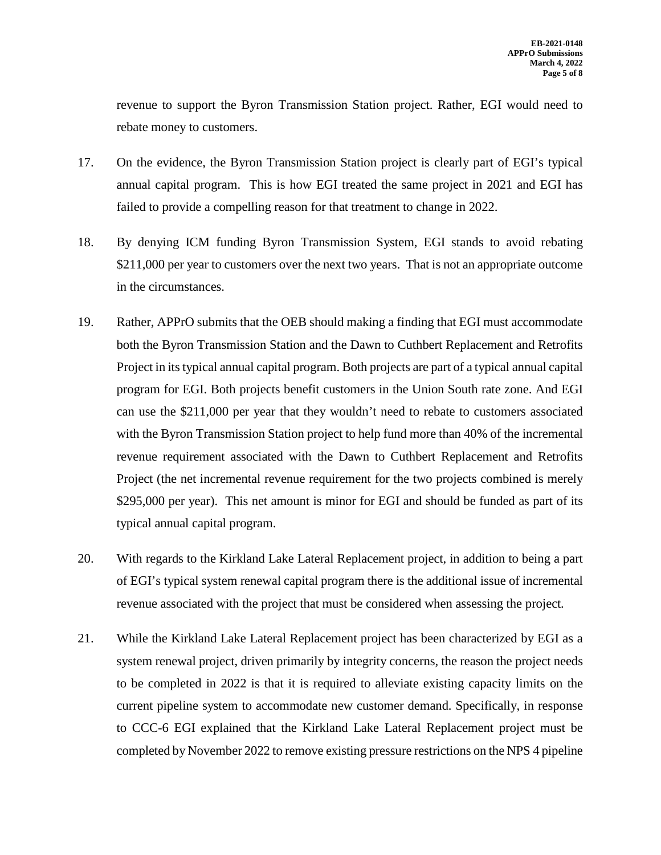revenue to support the Byron Transmission Station project. Rather, EGI would need to rebate money to customers.

- 17. On the evidence, the Byron Transmission Station project is clearly part of EGI's typical annual capital program. This is how EGI treated the same project in 2021 and EGI has failed to provide a compelling reason for that treatment to change in 2022.
- 18. By denying ICM funding Byron Transmission System, EGI stands to avoid rebating \$211,000 per year to customers over the next two years. That is not an appropriate outcome in the circumstances.
- 19. Rather, APPrO submits that the OEB should making a finding that EGI must accommodate both the Byron Transmission Station and the Dawn to Cuthbert Replacement and Retrofits Project in its typical annual capital program. Both projects are part of a typical annual capital program for EGI. Both projects benefit customers in the Union South rate zone. And EGI can use the \$211,000 per year that they wouldn't need to rebate to customers associated with the Byron Transmission Station project to help fund more than 40% of the incremental revenue requirement associated with the Dawn to Cuthbert Replacement and Retrofits Project (the net incremental revenue requirement for the two projects combined is merely \$295,000 per year). This net amount is minor for EGI and should be funded as part of its typical annual capital program.
- 20. With regards to the Kirkland Lake Lateral Replacement project, in addition to being a part of EGI's typical system renewal capital program there is the additional issue of incremental revenue associated with the project that must be considered when assessing the project.
- 21. While the Kirkland Lake Lateral Replacement project has been characterized by EGI as a system renewal project, driven primarily by integrity concerns, the reason the project needs to be completed in 2022 is that it is required to alleviate existing capacity limits on the current pipeline system to accommodate new customer demand. Specifically, in response to CCC-6 EGI explained that the Kirkland Lake Lateral Replacement project must be completed by November 2022 to remove existing pressure restrictions on the NPS 4 pipeline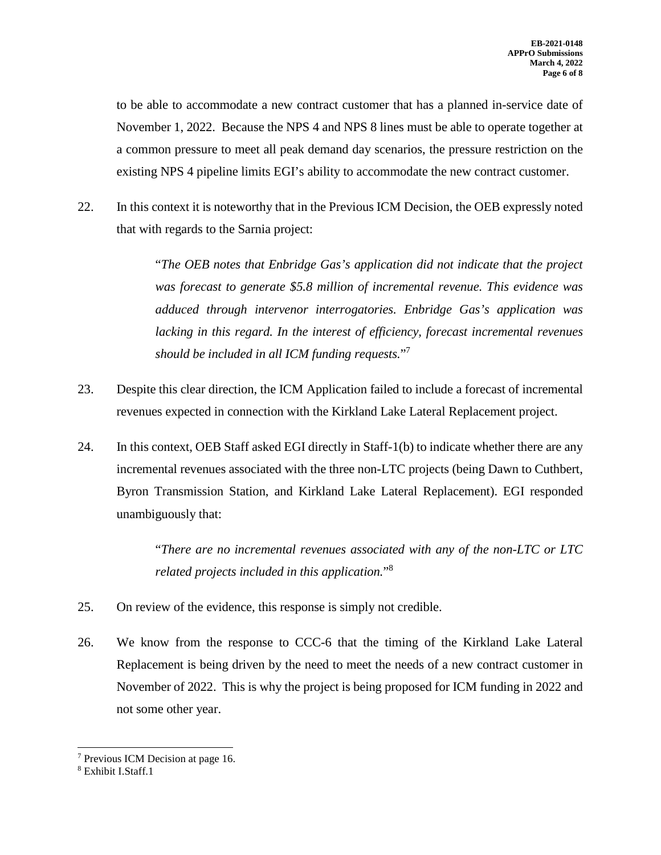to be able to accommodate a new contract customer that has a planned in-service date of November 1, 2022. Because the NPS 4 and NPS 8 lines must be able to operate together at a common pressure to meet all peak demand day scenarios, the pressure restriction on the existing NPS 4 pipeline limits EGI's ability to accommodate the new contract customer.

22. In this context it is noteworthy that in the Previous ICM Decision, the OEB expressly noted that with regards to the Sarnia project:

> "*The OEB notes that Enbridge Gas's application did not indicate that the project was forecast to generate \$5.8 million of incremental revenue. This evidence was adduced through intervenor interrogatories. Enbridge Gas's application was lacking in this regard. In the interest of efficiency, forecast incremental revenues should be included in all ICM funding requests.*" 7

- 23. Despite this clear direction, the ICM Application failed to include a forecast of incremental revenues expected in connection with the Kirkland Lake Lateral Replacement project.
- 24. In this context, OEB Staff asked EGI directly in Staff-1(b) to indicate whether there are any incremental revenues associated with the three non-LTC projects (being Dawn to Cuthbert, Byron Transmission Station, and Kirkland Lake Lateral Replacement). EGI responded unambiguously that:

"*There are no incremental revenues associated with any of the non-LTC or LTC related projects included in this application.*" 8

- 25. On review of the evidence, this response is simply not credible.
- 26. We know from the response to CCC-6 that the timing of the Kirkland Lake Lateral Replacement is being driven by the need to meet the needs of a new contract customer in November of 2022. This is why the project is being proposed for ICM funding in 2022 and not some other year.

<sup>7</sup> Previous ICM Decision at page 16.

<sup>8</sup> Exhibit I.Staff.1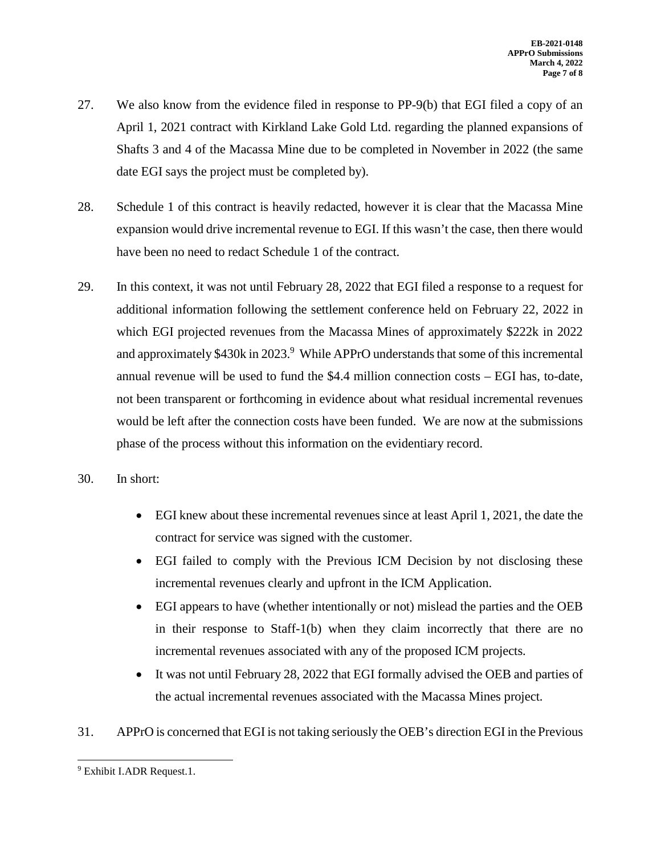- 27. We also know from the evidence filed in response to PP-9(b) that EGI filed a copy of an April 1, 2021 contract with Kirkland Lake Gold Ltd. regarding the planned expansions of Shafts 3 and 4 of the Macassa Mine due to be completed in November in 2022 (the same date EGI says the project must be completed by).
- 28. Schedule 1 of this contract is heavily redacted, however it is clear that the Macassa Mine expansion would drive incremental revenue to EGI. If this wasn't the case, then there would have been no need to redact Schedule 1 of the contract.
- 29. In this context, it was not until February 28, 2022 that EGI filed a response to a request for additional information following the settlement conference held on February 22, 2022 in which EGI projected revenues from the Macassa Mines of approximately \$222k in 2022 and approximately \$430k in 2023.<sup>9</sup> While APPrO understands that some of this incremental annual revenue will be used to fund the \$4.4 million connection costs – EGI has, to-date, not been transparent or forthcoming in evidence about what residual incremental revenues would be left after the connection costs have been funded. We are now at the submissions phase of the process without this information on the evidentiary record.
- 30. In short:
	- EGI knew about these incremental revenues since at least April 1, 2021, the date the contract for service was signed with the customer.
	- EGI failed to comply with the Previous ICM Decision by not disclosing these incremental revenues clearly and upfront in the ICM Application.
	- EGI appears to have (whether intentionally or not) mislead the parties and the OEB in their response to Staff-1(b) when they claim incorrectly that there are no incremental revenues associated with any of the proposed ICM projects.
	- It was not until February 28, 2022 that EGI formally advised the OEB and parties of the actual incremental revenues associated with the Macassa Mines project.
- 31. APPrO is concerned that EGI is not taking seriously the OEB's direction EGI in the Previous

<sup>&</sup>lt;sup>9</sup> Exhibit I.ADR Request.1.